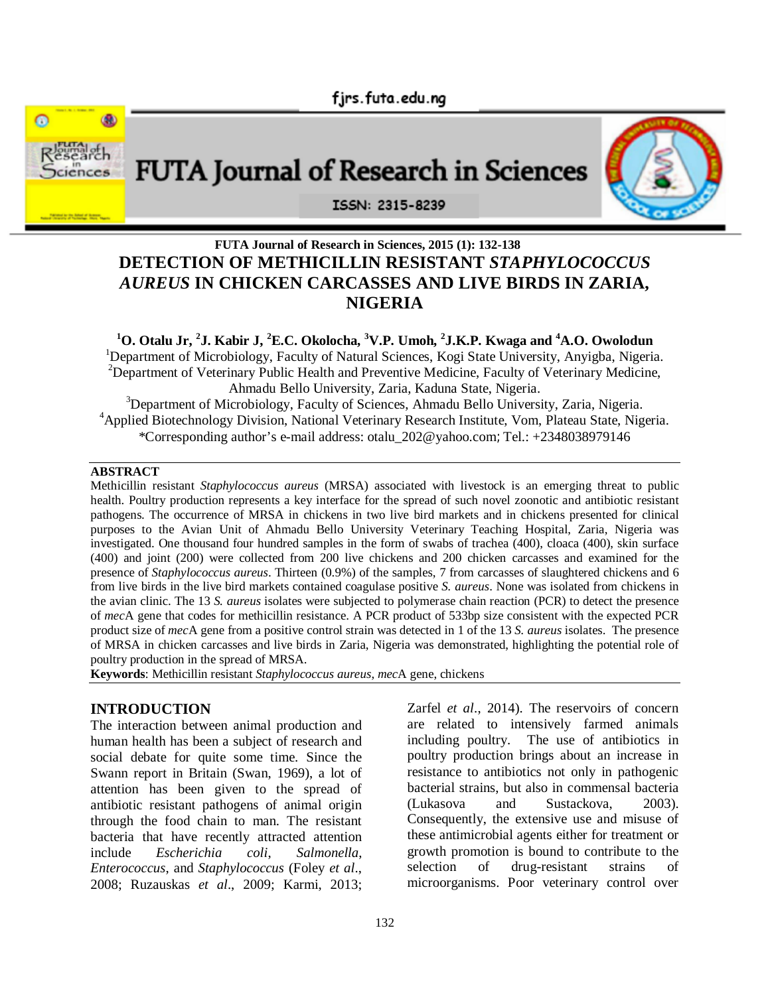

# **FUTA Journal of Research in Sciences, 2015 (1): 132-138 DETECTION OF METHICILLIN RESISTANT** *STAPHYLOCOCCUS AUREUS* **IN CHICKEN CARCASSES AND LIVE BIRDS IN ZARIA, NIGERIA**

**<sup>1</sup>O. Otalu Jr, <sup>2</sup> J. Kabir J, <sup>2</sup>E.C. Okolocha, <sup>3</sup>V.P. Umoh, 2 J.K.P. Kwaga and <sup>4</sup>A.O. Owolodun** <sup>1</sup>Department of Microbiology, Faculty of Natural Sciences, Kogi State University, Anyigba, Nigeria. <sup>2</sup>Department of Veterinary Public Health and Preventive Medicine, Faculty of Veterinary Medicine, Ahmadu Bello University, Zaria, Kaduna State, Nigeria.

<sup>3</sup>Department of Microbiology, Faculty of Sciences, Ahmadu Bello University, Zaria, Nigeria. <sup>4</sup>Applied Biotechnology Division, National Veterinary Research Institute, Vom, Plateau State, Nigeria. \*Corresponding author's e-mail address: otalu\_202@yahoo.com; Tel.: +2348038979146

#### **ABSTRACT**

Methicillin resistant *Staphylococcus aureus* (MRSA) associated with livestock is an emerging threat to public health. Poultry production represents a key interface for the spread of such novel zoonotic and antibiotic resistant pathogens. The occurrence of MRSA in chickens in two live bird markets and in chickens presented for clinical purposes to the Avian Unit of Ahmadu Bello University Veterinary Teaching Hospital, Zaria, Nigeria was investigated. One thousand four hundred samples in the form of swabs of trachea (400), cloaca (400), skin surface (400) and joint (200) were collected from 200 live chickens and 200 chicken carcasses and examined for the presence of *Staphylococcus aureus*. Thirteen (0.9%) of the samples, 7 from carcasses of slaughtered chickens and 6 from live birds in the live bird markets contained coagulase positive *S. aureus*. None was isolated from chickens in the avian clinic. The 13 *S. aureus* isolates were subjected to polymerase chain reaction (PCR) to detect the presence of *mec*A gene that codes for methicillin resistance. A PCR product of 533bp size consistent with the expected PCR product size of *mec*A gene from a positive control strain was detected in 1 of the 13 *S. aureus* isolates. The presence of MRSA in chicken carcasses and live birds in Zaria, Nigeria was demonstrated, highlighting the potential role of poultry production in the spread of MRSA.

**Keywords**: Methicillin resistant *Staphylococcus aureus*, *mec*A gene, chickens

#### **INTRODUCTION**

The interaction between animal production and human health has been a subject of research and social debate for quite some time. Since the Swann report in Britain (Swan, 1969), a lot of attention has been given to the spread of antibiotic resistant pathogens of animal origin through the food chain to man. The resistant bacteria that have recently attracted attention include *Escherichia coli*, *Salmonella*, *Enterococcus*, and *Staphylococcus* (Foley *et al*., 2008; Ruzauskas *et al*., 2009; Karmi, 2013;

Zarfel *et al*., 2014). The reservoirs of concern are related to intensively farmed animals including poultry. The use of antibiotics in poultry production brings about an increase in resistance to antibiotics not only in pathogenic bacterial strains, but also in commensal bacteria (Lukasova and Sustackova, 2003). Consequently, the extensive use and misuse of these antimicrobial agents either for treatment or growth promotion is bound to contribute to the selection of drug-resistant strains of microorganisms. Poor veterinary control over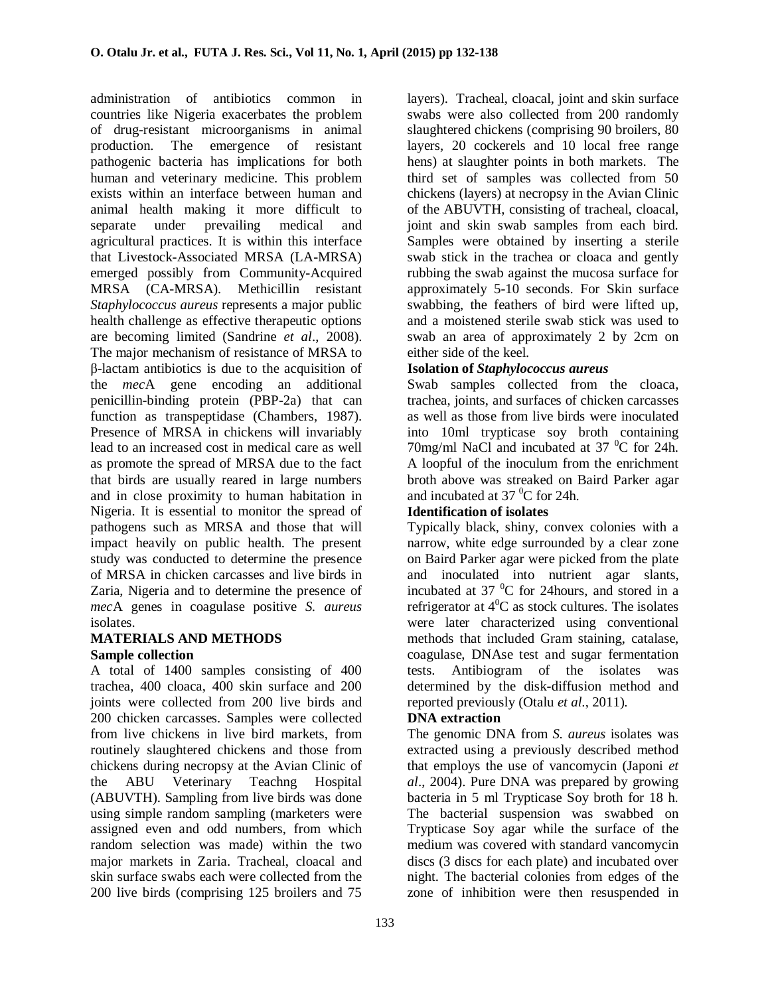administration of antibiotics common in countries like Nigeria exacerbates the problem of drug-resistant microorganisms in animal production. The emergence of resistant pathogenic bacteria has implications for both human and veterinary medicine. This problem exists within an interface between human and animal health making it more difficult to separate under prevailing medical and agricultural practices. It is within this interface that Livestock-Associated MRSA (LA-MRSA) emerged possibly from Community-Acquired MRSA (CA-MRSA). Methicillin resistant *Staphylococcus aureus* represents a major public health challenge as effective therapeutic options are becoming limited (Sandrine *et al*., 2008). The major mechanism of resistance of MRSA to β-lactam antibiotics is due to the acquisition of the *mec*A gene encoding an additional penicillin-binding protein (PBP-2a) that can function as transpeptidase (Chambers, 1987). Presence of MRSA in chickens will invariably lead to an increased cost in medical care as well as promote the spread of MRSA due to the fact that birds are usually reared in large numbers and in close proximity to human habitation in Nigeria. It is essential to monitor the spread of pathogens such as MRSA and those that will impact heavily on public health. The present study was conducted to determine the presence of MRSA in chicken carcasses and live birds in Zaria, Nigeria and to determine the presence of *mec*A genes in coagulase positive *S. aureus* isolates.

#### **MATERIALS AND METHODS Sample collection**

A total of 1400 samples consisting of 400 trachea, 400 cloaca, 400 skin surface and 200 joints were collected from 200 live birds and 200 chicken carcasses. Samples were collected from live chickens in live bird markets, from routinely slaughtered chickens and those from chickens during necropsy at the Avian Clinic of the ABU Veterinary Teachng Hospital (ABUVTH). Sampling from live birds was done using simple random sampling (marketers were assigned even and odd numbers, from which random selection was made) within the two major markets in Zaria. Tracheal, cloacal and skin surface swabs each were collected from the 200 live birds (comprising 125 broilers and 75

layers). Tracheal, cloacal, joint and skin surface swabs were also collected from 200 randomly slaughtered chickens (comprising 90 broilers, 80 layers, 20 cockerels and 10 local free range hens) at slaughter points in both markets. The third set of samples was collected from 50 chickens (layers) at necropsy in the Avian Clinic of the ABUVTH, consisting of tracheal, cloacal, joint and skin swab samples from each bird. Samples were obtained by inserting a sterile swab stick in the trachea or cloaca and gently rubbing the swab against the mucosa surface for approximately 5-10 seconds. For Skin surface swabbing, the feathers of bird were lifted up, and a moistened sterile swab stick was used to swab an area of approximately 2 by 2cm on either side of the keel.

# **Isolation of** *Staphylococcus aureus*

Swab samples collected from the cloaca, trachea, joints, and surfaces of chicken carcasses as well as those from live birds were inoculated into 10ml trypticase soy broth containing 70mg/ml NaCl and incubated at 37  $\mathrm{^0C}$  for 24h. A loopful of the inoculum from the enrichment broth above was streaked on Baird Parker agar and incubated at  $37<sup>0</sup>C$  for 24h.

# **Identification of isolates**

Typically black, shiny, convex colonies with a narrow, white edge surrounded by a clear zone on Baird Parker agar were picked from the plate and inoculated into nutrient agar slants, incubated at  $37 \text{ °C}$  for 24hours, and stored in a refrigerator at  $4^{\circ}$ C as stock cultures. The isolates were later characterized using conventional methods that included Gram staining, catalase, coagulase, DNAse test and sugar fermentation tests. Antibiogram of the isolates was determined by the disk-diffusion method and reported previously (Otalu *et al*., 2011).

# **DNA extraction**

The genomic DNA from *S. aureus* isolates was extracted using a previously described method that employs the use of vancomycin (Japoni *et al*., 2004). Pure DNA was prepared by growing bacteria in 5 ml Trypticase Soy broth for 18 h. The bacterial suspension was swabbed on Trypticase Soy agar while the surface of the medium was covered with standard vancomycin discs (3 discs for each plate) and incubated over night. The bacterial colonies from edges of the zone of inhibition were then resuspended in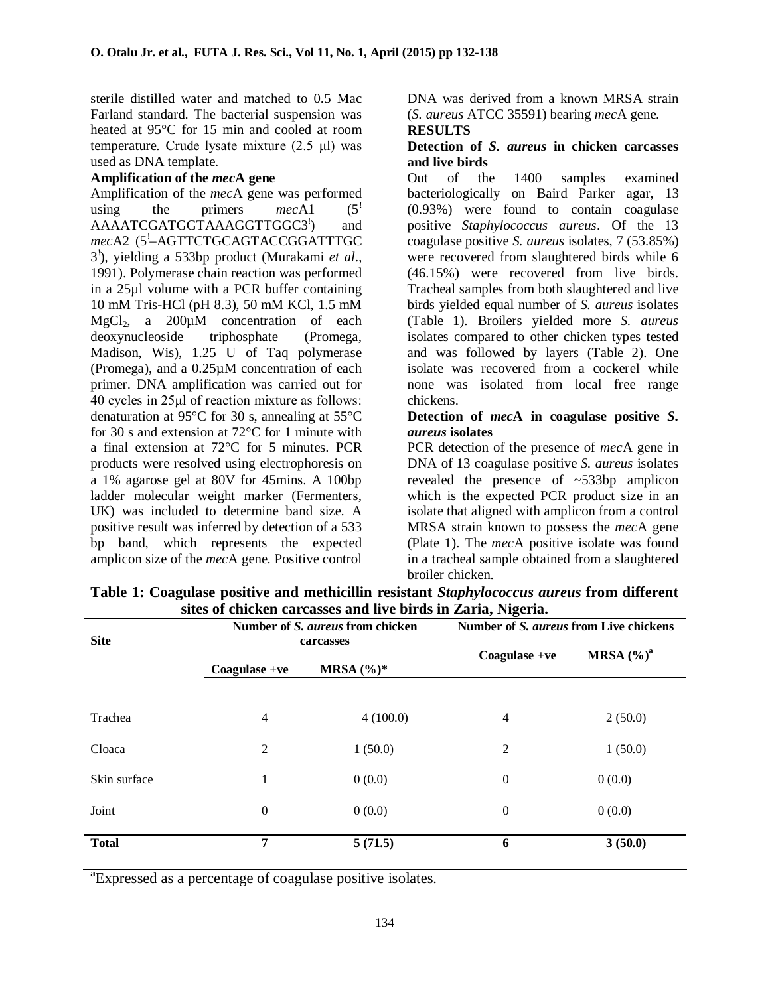sterile distilled water and matched to 0.5 Mac Farland standard. The bacterial suspension was heated at 95°C for 15 min and cooled at room temperature. Crude lysate mixture (2.5 μl) was used as DNA template.

#### **Amplification of the** *mec***A gene**

Amplification of the *mec*A gene was performed using the primers  $mech1$  (5<sup>!</sup>) AAAATCGATGGTAAAGGTTGGC3<sup>'</sup>) ) and mecA2 (5<sup>'</sup>-AGTTCTGCAGTACCGGATTTGC 3 ! ), yielding a 533bp product (Murakami *et al*., 1991). Polymerase chain reaction was performed in a 25µl volume with a PCR buffer containing 10 mM Tris-HCl (pH 8.3), 50 mM KCl, 1.5 mM  $MgCl<sub>2</sub>$ , a 200 $\mu$ M concentration of each deoxynucleoside triphosphate (Promega, Madison, Wis), 1.25 U of Taq polymerase (Promega), and a 0.25µM concentration of each primer. DNA amplification was carried out for 40 cycles in 25μl of reaction mixture as follows: denaturation at 95°C for 30 s, annealing at 55°C for 30 s and extension at 72°C for 1 minute with a final extension at 72°C for 5 minutes. PCR products were resolved using electrophoresis on a 1% agarose gel at 80V for 45mins. A 100bp ladder molecular weight marker (Fermenters, UK) was included to determine band size. A positive result was inferred by detection of a 533 bp band, which represents the expected amplicon size of the *mec*A gene. Positive control

DNA was derived from a known MRSA strain (*S. aureus* ATCC 35591) bearing *mec*A gene. **RESULTS**

#### **Detection of** *S. aureus* **in chicken carcasses and live birds**

Out of the 1400 samples examined bacteriologically on Baird Parker agar, 13 (0.93%) were found to contain coagulase positive *Staphylococcus aureus*. Of the 13 coagulase positive *S. aureus* isolates, 7 (53.85%) were recovered from slaughtered birds while 6 (46.15%) were recovered from live birds. Tracheal samples from both slaughtered and live birds yielded equal number of *S. aureus* isolates (Table 1). Broilers yielded more *S. aureus* isolates compared to other chicken types tested and was followed by layers (Table 2). One isolate was recovered from a cockerel while none was isolated from local free range chickens.

#### **Detection of** *mec***A in coagulase positive** *S. aureus* **isolates**

PCR detection of the presence of *mec*A gene in DNA of 13 coagulase positive *S. aureus* isolates revealed the presence of ~533bp amplicon which is the expected PCR product size in an isolate that aligned with amplicon from a control MRSA strain known to possess the *mec*A gene (Plate 1). The *mec*A positive isolate was found in a tracheal sample obtained from a slaughtered broiler chicken.

| <b>Site</b>  | Number of S. aureus from chicken<br>carcasses |               | Number of S. aureus from Live chickens |               |  |
|--------------|-----------------------------------------------|---------------|----------------------------------------|---------------|--|
|              | $Coagulase +ve$                               | MRSA $(\%)^*$ | $Coagulase +ve$                        | MRSA $(\%)^a$ |  |
| Trachea      | 4                                             | 4(100.0)      | 4                                      | 2(50.0)       |  |
| Cloaca       | 2                                             | 1(50.0)       | $\overline{c}$                         | 1(50.0)       |  |
| Skin surface | 1                                             | 0(0.0)        | $\boldsymbol{0}$                       | 0(0.0)        |  |
| Joint        | $\boldsymbol{0}$                              | 0(0.0)        | $\boldsymbol{0}$                       | 0(0.0)        |  |
| <b>Total</b> | $\overline{7}$                                | 5(71.5)       | 6                                      | 3(50.0)       |  |

**Table 1: Coagulase positive and methicillin resistant** *Staphylococcus aureus* **from different sites of chicken carcasses and live birds in Zaria, Nigeria.**

**a** Expressed as a percentage of coagulase positive isolates.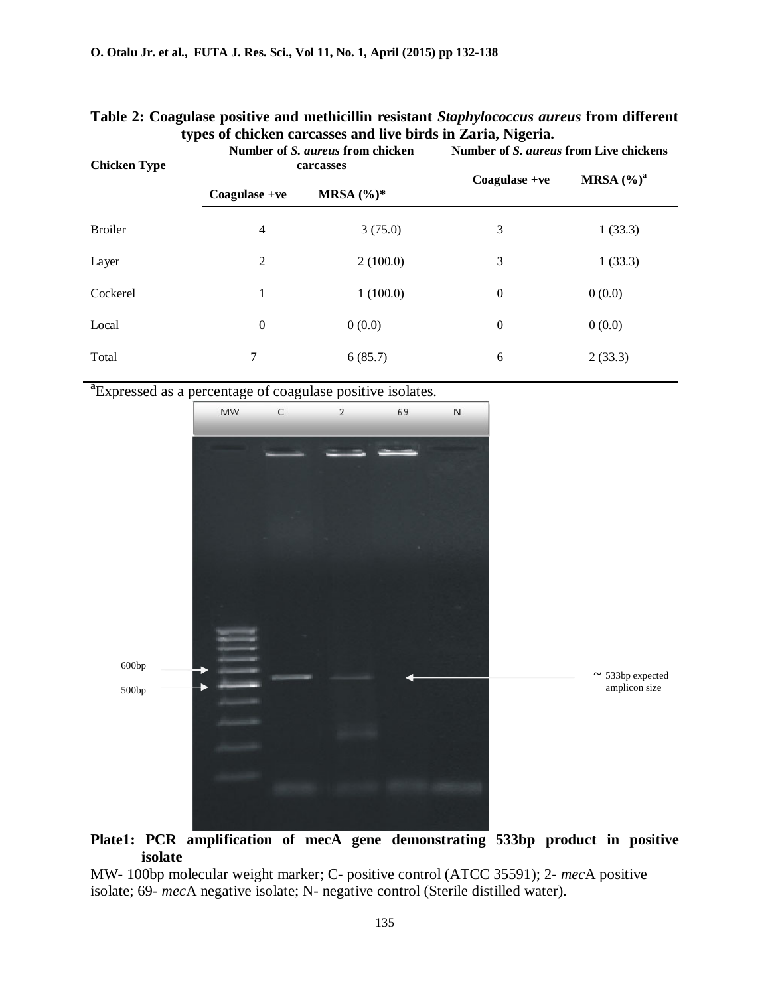| types of chicken carcasses and live birds in Zaria, Nigeria. |                                               |               |                                        |               |  |  |
|--------------------------------------------------------------|-----------------------------------------------|---------------|----------------------------------------|---------------|--|--|
| <b>Chicken Type</b>                                          | Number of S. aureus from chicken<br>carcasses |               | Number of S. aureus from Live chickens |               |  |  |
|                                                              |                                               |               |                                        |               |  |  |
|                                                              | $Coagulase +ve$                               | MRSA $(\%)^*$ | $Coagulase +ve$                        | MRSA $(\%)^a$ |  |  |
| <b>Broiler</b>                                               | 4                                             | 3(75.0)       | 3                                      | 1(33.3)       |  |  |
| Layer                                                        | 2                                             | 2(100.0)      | 3                                      | 1(33.3)       |  |  |
| Cockerel                                                     | 1                                             | 1(100.0)      | 0                                      | 0(0.0)        |  |  |
| Local                                                        | $\boldsymbol{0}$                              | 0(0.0)        | 0                                      | 0(0.0)        |  |  |
| Total                                                        | 7                                             | 6(85.7)       | 6                                      | 2(33.3)       |  |  |

### **Table 2: Coagulase positive and methicillin resistant** *Staphylococcus aureus* **from different types of chicken carcasses and live birds in Zaria, Nigeria.**

**a** Expressed as a percentage of coagulase positive isolates.



# **Plate1: PCR amplification of mecA gene demonstrating 533bp product in positive isolate**

MW- 100bp molecular weight marker; C- positive control (ATCC 35591); 2- *mec*A positive isolate; 69- *mec*A negative isolate; N- negative control (Sterile distilled water).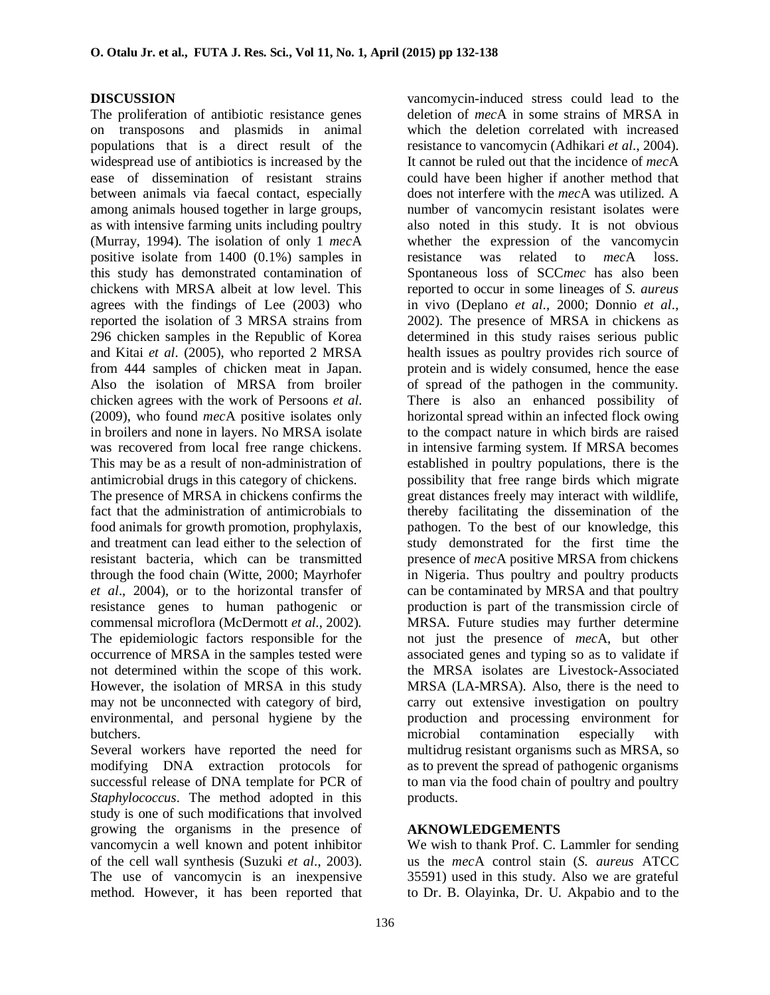#### **DISCUSSION**

The proliferation of antibiotic resistance genes on transposons and plasmids in animal populations that is a direct result of the widespread use of antibiotics is increased by the ease of dissemination of resistant strains between animals via faecal contact, especially among animals housed together in large groups, as with intensive farming units including poultry (Murray, 1994). The isolation of only 1 *mec*A positive isolate from 1400 (0.1%) samples in this study has demonstrated contamination of chickens with MRSA albeit at low level. This agrees with the findings of Lee (2003) who reported the isolation of 3 MRSA strains from 296 chicken samples in the Republic of Korea and Kitai *et al*. (2005), who reported 2 MRSA from 444 samples of chicken meat in Japan. Also the isolation of MRSA from broiler chicken agrees with the work of Persoons *et al*. (2009), who found *mec*A positive isolates only in broilers and none in layers. No MRSA isolate was recovered from local free range chickens. This may be as a result of non-administration of antimicrobial drugs in this category of chickens.

The presence of MRSA in chickens confirms the fact that the administration of antimicrobials to food animals for growth promotion, prophylaxis, and treatment can lead either to the selection of resistant bacteria, which can be transmitted through the food chain (Witte, 2000; Mayrhofer *et al*., 2004), or to the horizontal transfer of resistance genes to human pathogenic or commensal microflora (McDermott *et al*., 2002). The epidemiologic factors responsible for the occurrence of MRSA in the samples tested were not determined within the scope of this work. However, the isolation of MRSA in this study may not be unconnected with category of bird, environmental, and personal hygiene by the butchers.

Several workers have reported the need for modifying DNA extraction protocols for successful release of DNA template for PCR of *Staphylococcus*. The method adopted in this study is one of such modifications that involved growing the organisms in the presence of vancomycin a well known and potent inhibitor of the cell wall synthesis (Suzuki *et al*., 2003). The use of vancomycin is an inexpensive method. However, it has been reported that

deletion of *mec*A in some strains of MRSA in which the deletion correlated with increased resistance to vancomycin (Adhikari *et al*., 2004). It cannot be ruled out that the incidence of *mec*A could have been higher if another method that does not interfere with the *mec*A was utilized. A number of vancomycin resistant isolates were also noted in this study. It is not obvious whether the expression of the vancomycin resistance was related to *mec*A loss. Spontaneous loss of SCC*mec* has also been reported to occur in some lineages of *S. aureus* in vivo (Deplano *et al*., 2000; Donnio *et al*., 2002). The presence of MRSA in chickens as determined in this study raises serious public health issues as poultry provides rich source of protein and is widely consumed, hence the ease of spread of the pathogen in the community. There is also an enhanced possibility of horizontal spread within an infected flock owing to the compact nature in which birds are raised in intensive farming system. If MRSA becomes established in poultry populations, there is the possibility that free range birds which migrate great distances freely may interact with wildlife, thereby facilitating the dissemination of the pathogen. To the best of our knowledge, this study demonstrated for the first time the presence of *mec*A positive MRSA from chickens in Nigeria. Thus poultry and poultry products can be contaminated by MRSA and that poultry production is part of the transmission circle of MRSA. Future studies may further determine not just the presence of *mec*A, but other associated genes and typing so as to validate if the MRSA isolates are Livestock-Associated MRSA (LA-MRSA). Also, there is the need to carry out extensive investigation on poultry production and processing environment for microbial contamination especially with multidrug resistant organisms such as MRSA, so as to prevent the spread of pathogenic organisms to man via the food chain of poultry and poultry products.

vancomycin-induced stress could lead to the

# **AKNOWLEDGEMENTS**

We wish to thank Prof. C. Lammler for sending us the *mec*A control stain (*S. aureus* ATCC 35591) used in this study. Also we are grateful to Dr. B. Olayinka, Dr. U. Akpabio and to the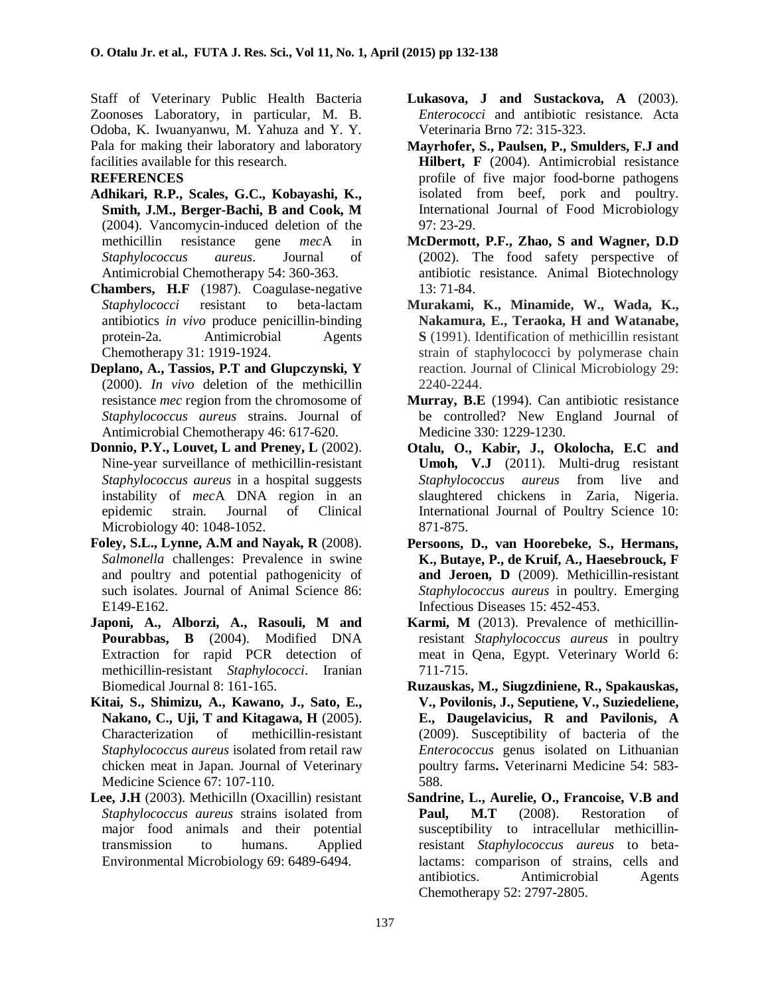Staff of Veterinary Public Health Bacteria Zoonoses Laboratory, in particular, M. B. Odoba, K. Iwuanyanwu, M. Yahuza and Y. Y. Pala for making their laboratory and laboratory facilities available for this research.

#### **REFERENCES**

- **Adhikari, R.P., Scales, G.C., Kobayashi, K., Smith, J.M., Berger-Bachi, B and Cook, M** (2004). Vancomycin-induced deletion of the methicillin resistance gene *mec*A in *Staphylococcus aureus*. Journal of Antimicrobial Chemotherapy 54: 360-363.
- **Chambers, H.F** (1987). Coagulase-negative *Staphylococci* resistant to beta-lactam antibiotics *in vivo* produce penicillin-binding protein-2a*.* Antimicrobial Agents Chemotherapy 31: 1919-1924.
- **Deplano, A., Tassios, P.T and Glupczynski, Y** (2000). *In vivo* deletion of the methicillin resistance *mec* region from the chromosome of *Staphylococcus aureus* strains. Journal of Antimicrobial Chemotherapy 46: 617-620.
- **Donnio, P.Y., Louvet, L and Preney, L** (2002). Nine-year surveillance of methicillin-resistant *Staphylococcus aureus* in a hospital suggests instability of *mec*A DNA region in an epidemic strain. Journal of Microbiology 40: 1048-1052.
- **Foley, S.L., Lynne, A.M and Nayak, R** (2008). *Salmonella* challenges: Prevalence in swine and poultry and potential pathogenicity of such isolates. Journal of Animal Science 86: E149-E162.
- **Japoni, A., Alborzi, A., Rasouli, M and Pourabbas, B** (2004). Modified DNA Extraction for rapid PCR detection of methicillin-resistant *Staphylococci*. Iranian Biomedical Journal 8: 161-165.
- **Kitai, S., Shimizu, A., Kawano, J., Sato, E., Nakano, C., Uji, T and Kitagawa, H** (2005). Characterization of methicillin-resistant *Staphylococcus aureus* isolated from retail raw chicken meat in Japan. Journal of Veterinary Medicine Science 67: 107-110.
- **Lee, J.H** (2003). Methicilln (Oxacillin) resistant *Staphylococcus aureus* strains isolated from major food animals and their potential transmission to humans. Applied Environmental Microbiology 69: 6489-6494.
- **Lukasova, J and Sustackova, A** (2003). *Enterococci* and antibiotic resistance. Acta Veterinaria Brno 72: 315-323.
- **Mayrhofer, S., Paulsen, P., Smulders, F.J and Hilbert, F** (2004). Antimicrobial resistance profile of five major food-borne pathogens isolated from beef, pork and poultry. International Journal of Food Microbiology 97: 23-29.
- **McDermott, P.F., Zhao, S and Wagner, D.D** (2002). The food safety perspective of antibiotic resistance. Animal Biotechnology 13: 71-84.
- **Murakami, K., Minamide, W., Wada, K., Nakamura, E., Teraoka, H and Watanabe, S** (1991). Identification of methicillin resistant strain of staphylococci by polymerase chain reaction. Journal of Clinical Microbiology 29: 2240-2244.
- **Murray, B.E** (1994). Can antibiotic resistance be controlled? New England Journal of Medicine 330: 1229-1230.
- **Otalu, O., Kabir, J., Okolocha, E.C and Umoh, V.J** (2011). Multi-drug resistant *Staphylococcus aureus* from live and slaughtered chickens in Zaria, Nigeria. International Journal of Poultry Science 10: 871-875.
- **Persoons, D., van Hoorebeke, S., Hermans, K., Butaye, P., de Kruif, A., Haesebrouck, F and Jeroen, D** (2009). Methicillin-resistant *Staphylococcus aureus* in poultry. Emerging Infectious Diseases 15: 452-453.
- **Karmi, M** (2013). Prevalence of methicillinresistant *Staphylococcus aureus* in poultry meat in Qena, Egypt. Veterinary World 6: 711-715.
- **Ruzauskas, M., Siugzdiniene, R., Spakauskas, V., Povilonis, J., Seputiene, V., Suziedeliene, E., Daugelavicius, R and Pavilonis, A** (2009). Susceptibility of bacteria of the *Enterococcus* genus isolated on Lithuanian poultry farms**.** Veterinarni Medicine 54: 583- 588.
- **Sandrine, L., Aurelie, O., Francoise, V.B and** Paul, M.T (2008). Restoration of susceptibility to intracellular methicillinresistant *Staphylococcus aureus* to betalactams: comparison of strains, cells and antibiotics. Antimicrobial Agents Chemotherapy 52: 2797-2805.